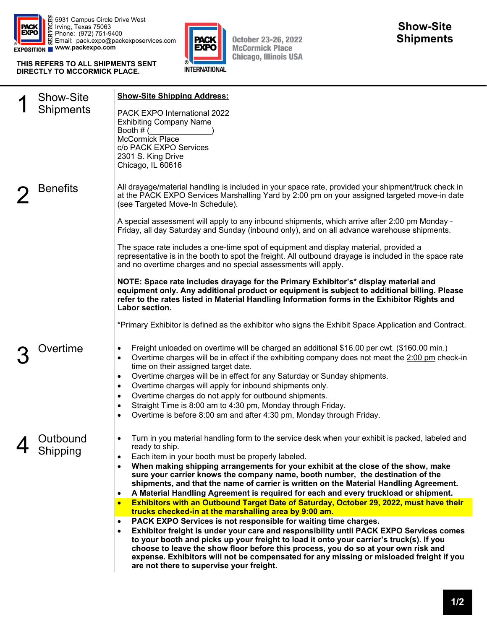

5931 Campus Circle Drive West Irving, Texas 75063 Phone: (972) 751-9400 Email: pack.expo@packexposervices.com **www.packexpo.com** 

**THIS REFERS TO ALL SHIPMENTS SENT DIRECTLY TO MCCORMICK PLACE.** 



**October 23-26, 2022 McCormick Place Chicago, Illinois USA** 

|                 | <b>Show-Site</b>     | <b>Show-Site Shipping Address:</b>                                                                                                                                                                                                                                                                                                                                                                                                                                                                                                                                                                                                                              |
|-----------------|----------------------|-----------------------------------------------------------------------------------------------------------------------------------------------------------------------------------------------------------------------------------------------------------------------------------------------------------------------------------------------------------------------------------------------------------------------------------------------------------------------------------------------------------------------------------------------------------------------------------------------------------------------------------------------------------------|
|                 | <b>Shipments</b>     | PACK EXPO International 2022<br><b>Exhibiting Company Name</b><br>Booth # (<br>McCormick Place<br>c/o PACK EXPO Services<br>2301 S. King Drive<br>Chicago, IL 60616                                                                                                                                                                                                                                                                                                                                                                                                                                                                                             |
| <b>Benefits</b> |                      | All drayage/material handling is included in your space rate, provided your shipment/truck check in<br>at the PACK EXPO Services Marshalling Yard by 2:00 pm on your assigned targeted move-in date<br>(see Targeted Move-In Schedule).                                                                                                                                                                                                                                                                                                                                                                                                                         |
|                 |                      | A special assessment will apply to any inbound shipments, which arrive after 2:00 pm Monday -<br>Friday, all day Saturday and Sunday (inbound only), and on all advance warehouse shipments.                                                                                                                                                                                                                                                                                                                                                                                                                                                                    |
|                 |                      | The space rate includes a one-time spot of equipment and display material, provided a<br>representative is in the booth to spot the freight. All outbound drayage is included in the space rate<br>and no overtime charges and no special assessments will apply.                                                                                                                                                                                                                                                                                                                                                                                               |
|                 |                      | NOTE: Space rate includes drayage for the Primary Exhibitor's* display material and<br>equipment only. Any additional product or equipment is subject to additional billing. Please<br>refer to the rates listed in Material Handling Information forms in the Exhibitor Rights and<br>Labor section.                                                                                                                                                                                                                                                                                                                                                           |
|                 |                      | *Primary Exhibitor is defined as the exhibitor who signs the Exhibit Space Application and Contract.                                                                                                                                                                                                                                                                                                                                                                                                                                                                                                                                                            |
|                 | Dvertime             | Freight unloaded on overtime will be charged an additional \$16.00 per cwt. (\$160.00 min.)<br>$\bullet$<br>Overtime charges will be in effect if the exhibiting company does not meet the 2:00 pm check-in<br>$\bullet$<br>time on their assigned target date.<br>Overtime charges will be in effect for any Saturday or Sunday shipments.<br>$\bullet$<br>Overtime charges will apply for inbound shipments only.<br>$\bullet$<br>Overtime charges do not apply for outbound shipments.<br>$\bullet$<br>Straight Time is 8:00 am to 4:30 pm, Monday through Friday.<br>$\bullet$<br>Overtime is before 8:00 am and after 4:30 pm, Monday through Friday.<br>٠ |
| 4               | Outbound<br>Shipping | Turn in you material handling form to the service desk when your exhibit is packed, labeled and<br>٠<br>ready to ship.<br>Each item in your booth must be properly labeled.<br>When making shipping arrangements for your exhibit at the close of the show, make<br>$\bullet$<br>sure your carrier knows the company name, booth number, the destination of the<br>shipments, and that the name of carrier is written on the Material Handling Agreement.<br>A Material Handling Agreement is required for each and every truckload or shipment.<br>$\bullet$                                                                                                   |
|                 |                      | Exhibitors with an Outbound Target Date of Saturday, October 29, 2022, must have their<br>$\bullet$<br>trucks checked-in at the marshalling area by 9:00 am.                                                                                                                                                                                                                                                                                                                                                                                                                                                                                                    |
|                 |                      | PACK EXPO Services is not responsible for waiting time charges.<br>$\bullet$<br>Exhibitor freight is under your care and responsibility until PACK EXPO Services comes<br>$\bullet$<br>to your booth and picks up your freight to load it onto your carrier's truck(s). If you<br>choose to leave the show floor before this process, you do so at your own risk and<br>expense. Exhibitors will not be compensated for any missing or misloaded freight if you<br>are not there to supervise your freight.                                                                                                                                                     |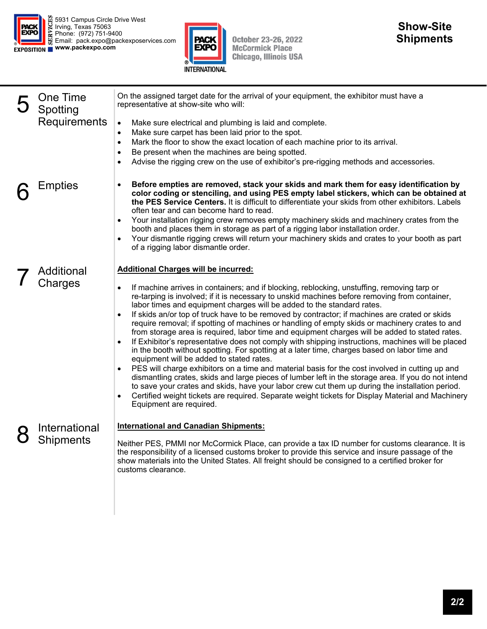



October 23-26, 2022<br>McCormick Place<br>Chicago, Illinois USA

| One Time<br>Spotting<br>Requirements | On the assigned target date for the arrival of your equipment, the exhibitor must have a<br>representative at show-site who will:<br>Make sure electrical and plumbing is laid and complete.<br>$\bullet$<br>Make sure carpet has been laid prior to the spot.<br>$\bullet$<br>Mark the floor to show the exact location of each machine prior to its arrival.<br>٠<br>Be present when the machines are being spotted.<br>٠<br>Advise the rigging crew on the use of exhibitor's pre-rigging methods and accessories.<br>$\bullet$                                                                                                                                                                                                                                                                                                                                                                                                                                                                                                                                                                                                                                                                                                                                                                                       |
|--------------------------------------|--------------------------------------------------------------------------------------------------------------------------------------------------------------------------------------------------------------------------------------------------------------------------------------------------------------------------------------------------------------------------------------------------------------------------------------------------------------------------------------------------------------------------------------------------------------------------------------------------------------------------------------------------------------------------------------------------------------------------------------------------------------------------------------------------------------------------------------------------------------------------------------------------------------------------------------------------------------------------------------------------------------------------------------------------------------------------------------------------------------------------------------------------------------------------------------------------------------------------------------------------------------------------------------------------------------------------|
| Empties                              | Before empties are removed, stack your skids and mark them for easy identification by<br>color coding or stenciling, and using PES empty label stickers, which can be obtained at<br>the PES Service Centers. It is difficult to differentiate your skids from other exhibitors. Labels<br>often tear and can become hard to read.<br>Your installation rigging crew removes empty machinery skids and machinery crates from the<br>booth and places them in storage as part of a rigging labor installation order.<br>Your dismantle rigging crews will return your machinery skids and crates to your booth as part<br>of a rigging labor dismantle order.                                                                                                                                                                                                                                                                                                                                                                                                                                                                                                                                                                                                                                                             |
| Additional<br>Charges                | <b>Additional Charges will be incurred:</b><br>If machine arrives in containers; and if blocking, reblocking, unstuffing, removing tarp or<br>re-tarping is involved; if it is necessary to unskid machines before removing from container,<br>labor times and equipment charges will be added to the standard rates.<br>If skids an/or top of truck have to be removed by contractor; if machines are crated or skids<br>require removal; if spotting of machines or handling of empty skids or machinery crates to and<br>from storage area is required, labor time and equipment charges will be added to stated rates.<br>If Exhibitor's representative does not comply with shipping instructions, machines will be placed<br>in the booth without spotting. For spotting at a later time, charges based on labor time and<br>equipment will be added to stated rates.<br>PES will charge exhibitors on a time and material basis for the cost involved in cutting up and<br>dismantling crates, skids and large pieces of lumber left in the storage area. If you do not intend<br>to save your crates and skids, have your labor crew cut them up during the installation period.<br>Certified weight tickets are required. Separate weight tickets for Display Material and Machinery<br>Equipment are required. |
| International<br>Shipments           | <b>International and Canadian Shipments:</b><br>Neither PES, PMMI nor McCormick Place, can provide a tax ID number for customs clearance. It is<br>the responsibility of a licensed customs broker to provide this service and insure passage of the<br>show materials into the United States. All freight should be consigned to a certified broker for<br>customs clearance.                                                                                                                                                                                                                                                                                                                                                                                                                                                                                                                                                                                                                                                                                                                                                                                                                                                                                                                                           |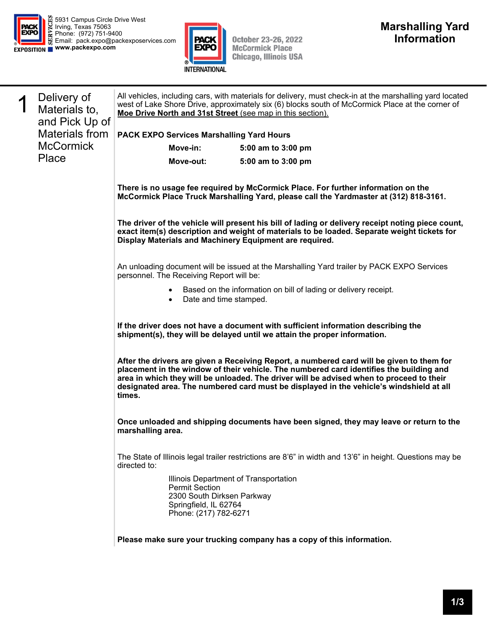



October 23-26, 2022<br>McCormick Place<br>Chicago, Illinois USA

| 1 | Delivery of<br>Materials to,<br>and Pick Up of<br><b>Materials from</b> | All vehicles, including cars, with materials for delivery, must check-in at the marshalling yard located<br>west of Lake Shore Drive, approximately six (6) blocks south of McCormick Place at the corner of<br>Moe Drive North and 31st Street (see map in this section).                                                                                                            |                                                                                                          |  |  |
|---|-------------------------------------------------------------------------|---------------------------------------------------------------------------------------------------------------------------------------------------------------------------------------------------------------------------------------------------------------------------------------------------------------------------------------------------------------------------------------|----------------------------------------------------------------------------------------------------------|--|--|
|   |                                                                         | PACK EXPO Services Marshalling Yard Hours                                                                                                                                                                                                                                                                                                                                             |                                                                                                          |  |  |
|   | <b>McCormick</b>                                                        | Move-in:                                                                                                                                                                                                                                                                                                                                                                              | 5:00 am to 3:00 pm                                                                                       |  |  |
|   | Place                                                                   | Move-out:                                                                                                                                                                                                                                                                                                                                                                             | 5:00 am to 3:00 pm                                                                                       |  |  |
|   |                                                                         | There is no usage fee required by McCormick Place. For further information on the<br>McCormick Place Truck Marshalling Yard, please call the Yardmaster at (312) 818-3161.                                                                                                                                                                                                            |                                                                                                          |  |  |
|   |                                                                         | The driver of the vehicle will present his bill of lading or delivery receipt noting piece count,<br>exact item(s) description and weight of materials to be loaded. Separate weight tickets for<br>Display Materials and Machinery Equipment are required.                                                                                                                           |                                                                                                          |  |  |
|   |                                                                         | personnel. The Receiving Report will be:                                                                                                                                                                                                                                                                                                                                              | An unloading document will be issued at the Marshalling Yard trailer by PACK EXPO Services               |  |  |
|   |                                                                         | Based on the information on bill of lading or delivery receipt.<br>Date and time stamped.                                                                                                                                                                                                                                                                                             |                                                                                                          |  |  |
|   |                                                                         | If the driver does not have a document with sufficient information describing the<br>shipment(s), they will be delayed until we attain the proper information.                                                                                                                                                                                                                        |                                                                                                          |  |  |
|   |                                                                         | After the drivers are given a Receiving Report, a numbered card will be given to them for<br>placement in the window of their vehicle. The numbered card identifies the building and<br>area in which they will be unloaded. The driver will be advised when to proceed to their<br>designated area. The numbered card must be displayed in the vehicle's windshield at all<br>times. |                                                                                                          |  |  |
|   |                                                                         | marshalling area.                                                                                                                                                                                                                                                                                                                                                                     | Once unloaded and shipping documents have been signed, they may leave or return to the                   |  |  |
|   |                                                                         | directed to:                                                                                                                                                                                                                                                                                                                                                                          | The State of Illinois legal trailer restrictions are 8'6" in width and 13'6" in height. Questions may be |  |  |
|   |                                                                         | <b>Permit Section</b><br>2300 South Dirksen Parkway<br>Springfield, IL 62764<br>Phone: (217) 782-6271                                                                                                                                                                                                                                                                                 | Illinois Department of Transportation                                                                    |  |  |
|   |                                                                         |                                                                                                                                                                                                                                                                                                                                                                                       | Please make sure your trucking company has a copy of this information.                                   |  |  |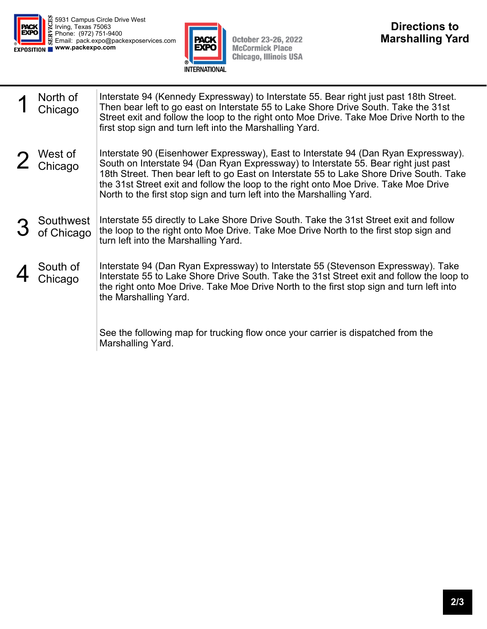



October 23-26, 2022<br>McCormick Place<br>Chicago, Illinois USA

| North of<br>Chicago         | Interstate 94 (Kennedy Expressway) to Interstate 55. Bear right just past 18th Street.<br>Then bear left to go east on Interstate 55 to Lake Shore Drive South. Take the 31st<br>Street exit and follow the loop to the right onto Moe Drive. Take Moe Drive North to the<br>first stop sign and turn left into the Marshalling Yard.                                                                                                  |
|-----------------------------|----------------------------------------------------------------------------------------------------------------------------------------------------------------------------------------------------------------------------------------------------------------------------------------------------------------------------------------------------------------------------------------------------------------------------------------|
| 2 West of                   | Interstate 90 (Eisenhower Expressway), East to Interstate 94 (Dan Ryan Expressway).<br>South on Interstate 94 (Dan Ryan Expressway) to Interstate 55. Bear right just past<br>18th Street. Then bear left to go East on Interstate 55 to Lake Shore Drive South. Take<br>the 31st Street exit and follow the loop to the right onto Moe Drive. Take Moe Drive<br>North to the first stop sign and turn left into the Marshalling Yard. |
| 3 Southwest<br>3 of Chicago | Interstate 55 directly to Lake Shore Drive South. Take the 31st Street exit and follow<br>the loop to the right onto Moe Drive. Take Moe Drive North to the first stop sign and<br>turn left into the Marshalling Yard.                                                                                                                                                                                                                |
| South of<br>Chicago         | Interstate 94 (Dan Ryan Expressway) to Interstate 55 (Stevenson Expressway). Take<br>Interstate 55 to Lake Shore Drive South. Take the 31st Street exit and follow the loop to<br>the right onto Moe Drive. Take Moe Drive North to the first stop sign and turn left into<br>the Marshalling Yard.                                                                                                                                    |
|                             | See the following map for trucking flow once your carrier is dispatched from the<br>Marshalling Yard.                                                                                                                                                                                                                                                                                                                                  |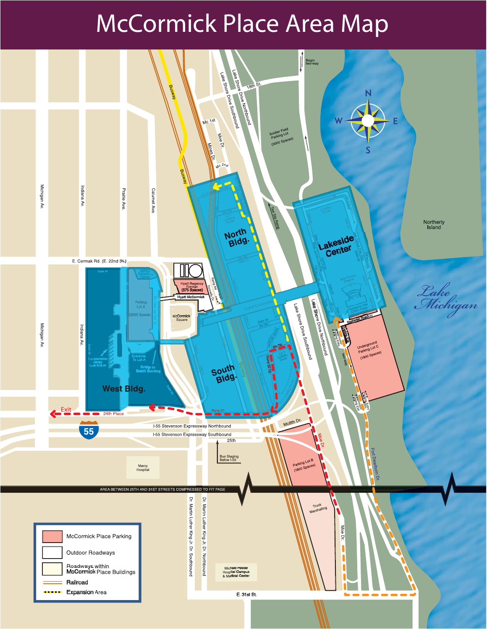## McCormick Place Area Map